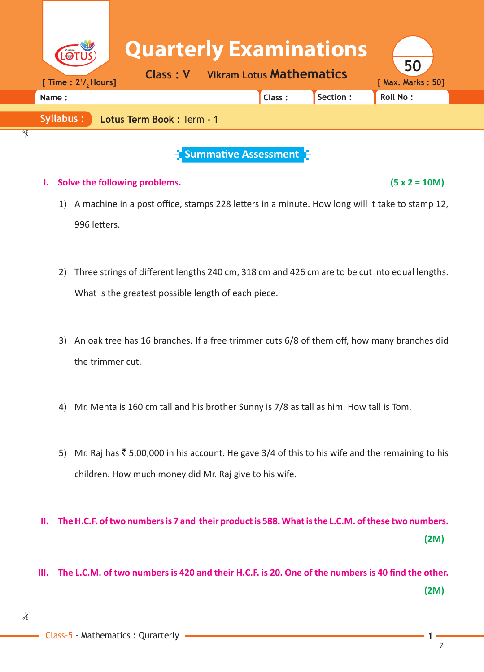|       |                  |                              |                                                                                                   | <b>Quarterly Examinations</b><br><b>Class: V</b> |                                                  | <b>Vikram Lotus Mathematics</b> |          | 50                                   |      |
|-------|------------------|------------------------------|---------------------------------------------------------------------------------------------------|--------------------------------------------------|--------------------------------------------------|---------------------------------|----------|--------------------------------------|------|
| Name: |                  | [ Time : $2^{1}/_{2}$ Hours] |                                                                                                   |                                                  |                                                  | Class:                          | Section: | [ Max. Marks: 50]<br><b>Roll No:</b> |      |
|       |                  |                              |                                                                                                   |                                                  |                                                  |                                 |          |                                      |      |
|       | <b>Syllabus:</b> |                              | Lotus Term Book: Term - 1                                                                         |                                                  |                                                  |                                 |          |                                      |      |
|       |                  |                              |                                                                                                   |                                                  | $\frac{1}{2}$ Summative Assessment $\frac{1}{2}$ |                                 |          |                                      |      |
| ı.    |                  |                              | Solve the following problems.                                                                     |                                                  |                                                  |                                 |          | $(5 x 2 = 10M)$                      |      |
|       | 1)               |                              | A machine in a post office, stamps 228 letters in a minute. How long will it take to stamp 12,    |                                                  |                                                  |                                 |          |                                      |      |
|       |                  | 996 letters.                 |                                                                                                   |                                                  |                                                  |                                 |          |                                      |      |
|       |                  |                              |                                                                                                   |                                                  |                                                  |                                 |          |                                      |      |
|       |                  |                              |                                                                                                   |                                                  |                                                  |                                 |          |                                      |      |
|       | 2)               |                              | Three strings of different lengths 240 cm, 318 cm and 426 cm are to be cut into equal lengths.    |                                                  |                                                  |                                 |          |                                      |      |
|       |                  |                              | What is the greatest possible length of each piece.                                               |                                                  |                                                  |                                 |          |                                      |      |
|       |                  |                              |                                                                                                   |                                                  |                                                  |                                 |          |                                      |      |
|       | 3)               |                              | An oak tree has 16 branches. If a free trimmer cuts 6/8 of them off, how many branches did        |                                                  |                                                  |                                 |          |                                      |      |
|       |                  | the trimmer cut.             |                                                                                                   |                                                  |                                                  |                                 |          |                                      |      |
|       |                  |                              |                                                                                                   |                                                  |                                                  |                                 |          |                                      |      |
|       | 4)               |                              | Mr. Mehta is 160 cm tall and his brother Sunny is 7/8 as tall as him. How tall is Tom.            |                                                  |                                                  |                                 |          |                                      |      |
|       |                  |                              |                                                                                                   |                                                  |                                                  |                                 |          |                                      |      |
|       |                  |                              |                                                                                                   |                                                  |                                                  |                                 |          |                                      |      |
|       | 5)               |                              | Mr. Raj has ₹ 5,00,000 in his account. He gave 3/4 of this to his wife and the remaining to his   |                                                  |                                                  |                                 |          |                                      |      |
|       |                  |                              | children. How much money did Mr. Raj give to his wife.                                            |                                                  |                                                  |                                 |          |                                      |      |
|       |                  |                              |                                                                                                   |                                                  |                                                  |                                 |          |                                      |      |
| н.    |                  |                              | The H.C.F. of two numbers is 7 and their product is 588. What is the L.C.M. of these two numbers. |                                                  |                                                  |                                 |          |                                      |      |
|       |                  |                              |                                                                                                   |                                                  |                                                  |                                 |          |                                      | (2M) |
|       |                  |                              |                                                                                                   |                                                  |                                                  |                                 |          |                                      |      |
| III.  |                  |                              | The L.C.M. of two numbers is 420 and their H.C.F. is 20. One of the numbers is 40 find the other. |                                                  |                                                  |                                 |          |                                      |      |
|       |                  |                              |                                                                                                   |                                                  |                                                  |                                 |          |                                      | (2M) |
|       |                  |                              |                                                                                                   |                                                  |                                                  |                                 |          |                                      |      |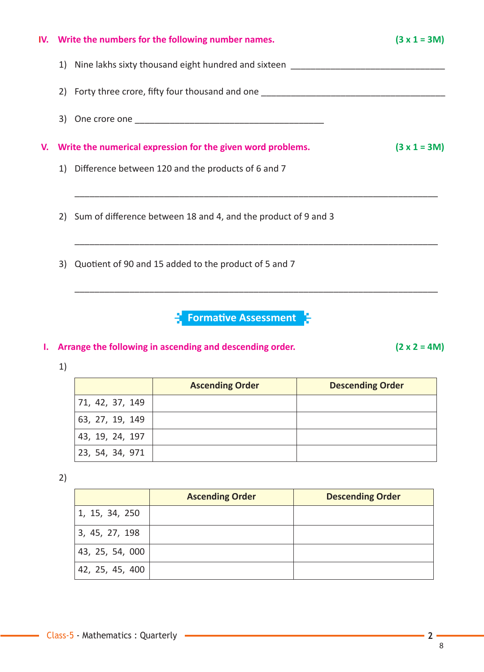|    |    | IV. Write the numbers for the following number names.                             | $(3 x 1 = 3M)$ |
|----|----|-----------------------------------------------------------------------------------|----------------|
|    | 1) | Nine lakhs sixty thousand eight hundred and sixteen _____________________________ |                |
|    | 2) | Forty three crore, fifty four thousand and one _________________________________  |                |
|    |    |                                                                                   |                |
| V. |    | Write the numerical expression for the given word problems.                       | $(3 x 1 = 3M)$ |
|    |    | 1) Difference between 120 and the products of 6 and 7                             |                |
|    |    |                                                                                   |                |
|    |    | 2) Sum of difference between 18 and 4, and the product of 9 and 3                 |                |
|    |    |                                                                                   |                |
|    |    | 3) Quotient of 90 and 15 added to the product of 5 and 7                          |                |
|    |    |                                                                                   |                |
|    |    | <b>Formative Assessment</b>                                                       |                |

## **I. Arrange the following in ascending and descending order. (2 x 2 = 4M)**

1)

|                 | <b>Ascending Order</b> | <b>Descending Order</b> |
|-----------------|------------------------|-------------------------|
| 71, 42, 37, 149 |                        |                         |
| 63, 27, 19, 149 |                        |                         |
| 43, 19, 24, 197 |                        |                         |
| 23, 54, 34, 971 |                        |                         |

2)

۰

|                 | <b>Ascending Order</b> | <b>Descending Order</b> |
|-----------------|------------------------|-------------------------|
| 1, 15, 34, 250  |                        |                         |
| 3, 45, 27, 198  |                        |                         |
| 43, 25, 54, 000 |                        |                         |
| 42, 25, 45, 400 |                        |                         |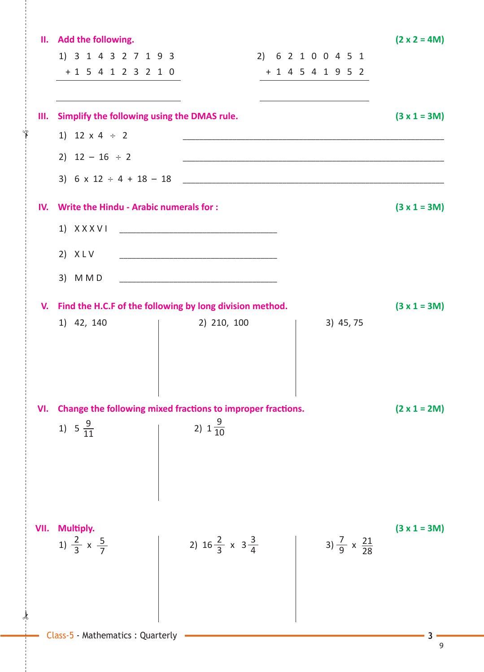|      | II. Add the following.                                      |                                                                                                                       |  |                                                                                                                     | $(2 \times 2 = 4M)$ |
|------|-------------------------------------------------------------|-----------------------------------------------------------------------------------------------------------------------|--|---------------------------------------------------------------------------------------------------------------------|---------------------|
|      | 1) 3 1 4 3 2 7 1 9 3                                        |                                                                                                                       |  | 2) 6 2 1 0 0 4 5 1                                                                                                  |                     |
|      | $+1$ 5 4 1 2 3 2 1 0                                        |                                                                                                                       |  | $+ 1 4 5 4 1 9 5 2$                                                                                                 |                     |
|      | <u> 1989 - Johann Barn, amerikansk politiker (d. 1989)</u>  |                                                                                                                       |  | <u> 1989 - Johann Barn, mars ann an t-Amhain an t-Amhain an t-Amhain an t-Amhain an t-Amhain an t-Amhain an t-A</u> |                     |
| Ш.   | Simplify the following using the DMAS rule.                 |                                                                                                                       |  |                                                                                                                     | $(3 x 1 = 3M)$      |
|      | 1) 12 $\times$ 4 ÷ 2                                        |                                                                                                                       |  |                                                                                                                     |                     |
|      | 2) $12 - 16 \div 2$                                         |                                                                                                                       |  |                                                                                                                     |                     |
|      |                                                             |                                                                                                                       |  |                                                                                                                     |                     |
| IV.  | Write the Hindu - Arabic numerals for :                     |                                                                                                                       |  |                                                                                                                     | $(3 x 1 = 3M)$      |
|      | $1)$ $X$ $X$ $X$ $V$ $I$                                    | <u> 1989 - Johann Harry Harry Harry Harry Harry Harry Harry Harry Harry Harry Harry Harry Harry Harry Harry Harry</u> |  |                                                                                                                     |                     |
|      | 2) $XLV$                                                    | <u> 1989 - Johann Barn, mars eta bat erroman erroman erroman erroman erroman erroman erroman erroman erroman err</u>  |  |                                                                                                                     |                     |
|      |                                                             |                                                                                                                       |  |                                                                                                                     |                     |
|      | 3) M M D                                                    | <u> 1980 - Johann John Stone, mars eta biztanleria (h. 1980).</u>                                                     |  |                                                                                                                     |                     |
| V.   | Find the H.C.F of the following by long division method.    |                                                                                                                       |  |                                                                                                                     | $(3 x 1 = 3M)$      |
|      | 1) 42, 140                                                  | 2) 210, 100                                                                                                           |  | 3) 45, 75                                                                                                           |                     |
|      |                                                             |                                                                                                                       |  |                                                                                                                     |                     |
|      |                                                             |                                                                                                                       |  |                                                                                                                     |                     |
|      |                                                             |                                                                                                                       |  |                                                                                                                     |                     |
| VI.  | Change the following mixed fractions to improper fractions. |                                                                                                                       |  |                                                                                                                     | $(2 \times 1 = 2M)$ |
|      | 1) $5\frac{9}{11}$                                          | 2) $1\frac{9}{10}$                                                                                                    |  |                                                                                                                     |                     |
|      |                                                             |                                                                                                                       |  |                                                                                                                     |                     |
|      |                                                             |                                                                                                                       |  |                                                                                                                     |                     |
|      |                                                             |                                                                                                                       |  |                                                                                                                     |                     |
|      |                                                             |                                                                                                                       |  |                                                                                                                     |                     |
| VII. | Multiply.<br>1) $\frac{2}{3}$ x $\frac{5}{7}$               |                                                                                                                       |  |                                                                                                                     | $(3 x 1 = 3M)$      |
|      |                                                             | 2) $16\frac{2}{3} \times 3\frac{3}{4}$                                                                                |  | 3) $\frac{7}{9} \times \frac{21}{28}$                                                                               |                     |
|      |                                                             |                                                                                                                       |  |                                                                                                                     |                     |
|      |                                                             |                                                                                                                       |  |                                                                                                                     |                     |
|      |                                                             |                                                                                                                       |  |                                                                                                                     |                     |
|      | Class-5 - Mathematics : Quarterly                           |                                                                                                                       |  |                                                                                                                     |                     |

✁

✁

9